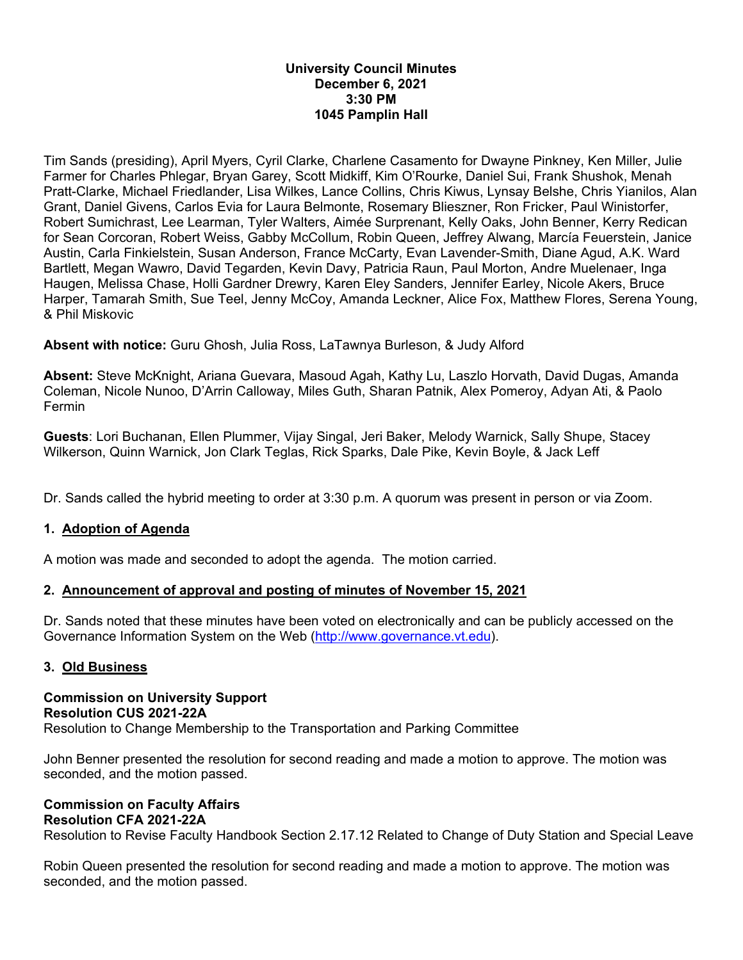### **University Council Minutes December 6, 2021 3:30 PM 1045 Pamplin Hall**

Tim Sands (presiding), April Myers, Cyril Clarke, Charlene Casamento for Dwayne Pinkney, Ken Miller, Julie Farmer for Charles Phlegar, Bryan Garey, Scott Midkiff, Kim O'Rourke, Daniel Sui, Frank Shushok, Menah Pratt-Clarke, Michael Friedlander, Lisa Wilkes, Lance Collins, Chris Kiwus, Lynsay Belshe, Chris Yianilos, Alan Grant, Daniel Givens, Carlos Evia for Laura Belmonte, Rosemary Blieszner, Ron Fricker, Paul Winistorfer, Robert Sumichrast, Lee Learman, Tyler Walters, Aimée Surprenant, Kelly Oaks, John Benner, Kerry Redican for Sean Corcoran, Robert Weiss, Gabby McCollum, Robin Queen, Jeffrey Alwang, Marcía Feuerstein, Janice Austin, Carla Finkielstein, Susan Anderson, France McCarty, Evan Lavender-Smith, Diane Agud, A.K. Ward Bartlett, Megan Wawro, David Tegarden, Kevin Davy, Patricia Raun, Paul Morton, Andre Muelenaer, Inga Haugen, Melissa Chase, Holli Gardner Drewry, Karen Eley Sanders, Jennifer Earley, Nicole Akers, Bruce Harper, Tamarah Smith, Sue Teel, Jenny McCoy, Amanda Leckner, Alice Fox, Matthew Flores, Serena Young, & Phil Miskovic

**Absent with notice:** Guru Ghosh, Julia Ross, LaTawnya Burleson, & Judy Alford

**Absent:** Steve McKnight, Ariana Guevara, Masoud Agah, Kathy Lu, Laszlo Horvath, David Dugas, Amanda Coleman, Nicole Nunoo, D'Arrin Calloway, Miles Guth, Sharan Patnik, Alex Pomeroy, Adyan Ati, & Paolo Fermin

**Guests**: Lori Buchanan, Ellen Plummer, Vijay Singal, Jeri Baker, Melody Warnick, Sally Shupe, Stacey Wilkerson, Quinn Warnick, Jon Clark Teglas, Rick Sparks, Dale Pike, Kevin Boyle, & Jack Leff

Dr. Sands called the hybrid meeting to order at 3:30 p.m. A quorum was present in person or via Zoom.

# **1. Adoption of Agenda**

A motion was made and seconded to adopt the agenda. The motion carried.

## **2. Announcement of approval and posting of minutes of November 15, 2021**

Dr. Sands noted that these minutes have been voted on electronically and can be publicly accessed on the Governance Information System on the Web (http://www.governance.vt.edu).

## **3. Old Business**

**Commission on University Support Resolution CUS 2021-22A**  Resolution to Change Membership to the Transportation and Parking Committee

John Benner presented the resolution for second reading and made a motion to approve. The motion was seconded, and the motion passed.

#### **Commission on Faculty Affairs Resolution CFA 2021-22A**

Resolution to Revise Faculty Handbook Section 2.17.12 Related to Change of Duty Station and Special Leave

Robin Queen presented the resolution for second reading and made a motion to approve. The motion was seconded, and the motion passed.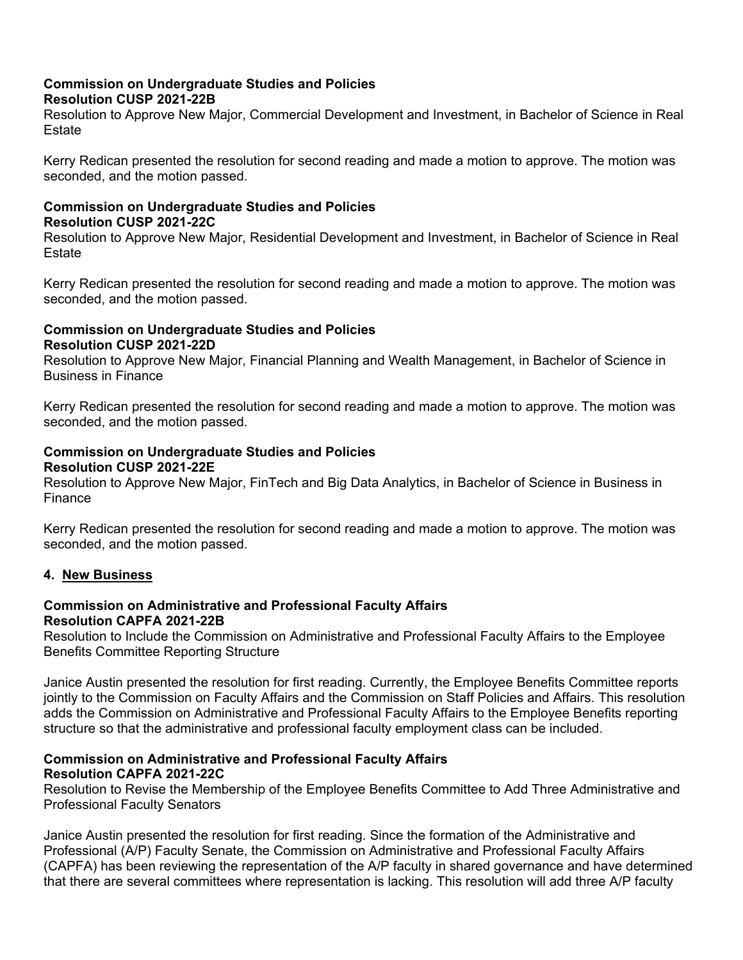## **Commission on Undergraduate Studies and Policies Resolution CUSP 2021-22B**

Resolution to Approve New Major, Commercial Development and Investment, in Bachelor of Science in Real Estate

Kerry Redican presented the resolution for second reading and made a motion to approve. The motion was seconded, and the motion passed.

# **Commission on Undergraduate Studies and Policies Resolution CUSP 2021-22C**

Resolution to Approve New Major, Residential Development and Investment, in Bachelor of Science in Real **Estate** 

Kerry Redican presented the resolution for second reading and made a motion to approve. The motion was seconded, and the motion passed.

## **Commission on Undergraduate Studies and Policies Resolution CUSP 2021-22D**

Resolution to Approve New Major, Financial Planning and Wealth Management, in Bachelor of Science in Business in Finance

Kerry Redican presented the resolution for second reading and made a motion to approve. The motion was seconded, and the motion passed.

### **Commission on Undergraduate Studies and Policies Resolution CUSP 2021-22E**

Resolution to Approve New Major, FinTech and Big Data Analytics, in Bachelor of Science in Business in Finance

Kerry Redican presented the resolution for second reading and made a motion to approve. The motion was seconded, and the motion passed.

## **4. New Business**

## **Commission on Administrative and Professional Faculty Affairs Resolution CAPFA 2021-22B**

Resolution to Include the Commission on Administrative and Professional Faculty Affairs to the Employee Benefits Committee Reporting Structure

Janice Austin presented the resolution for first reading. Currently, the Employee Benefits Committee reports jointly to the Commission on Faculty Affairs and the Commission on Staff Policies and Affairs. This resolution adds the Commission on Administrative and Professional Faculty Affairs to the Employee Benefits reporting structure so that the administrative and professional faculty employment class can be included.

#### **Commission on Administrative and Professional Faculty Affairs Resolution CAPFA 2021-22C**

Resolution to Revise the Membership of the Employee Benefits Committee to Add Three Administrative and Professional Faculty Senators

Janice Austin presented the resolution for first reading. Since the formation of the Administrative and Professional (A/P) Faculty Senate, the Commission on Administrative and Professional Faculty Affairs (CAPFA) has been reviewing the representation of the A/P faculty in shared governance and have determined that there are several committees where representation is lacking. This resolution will add three A/P faculty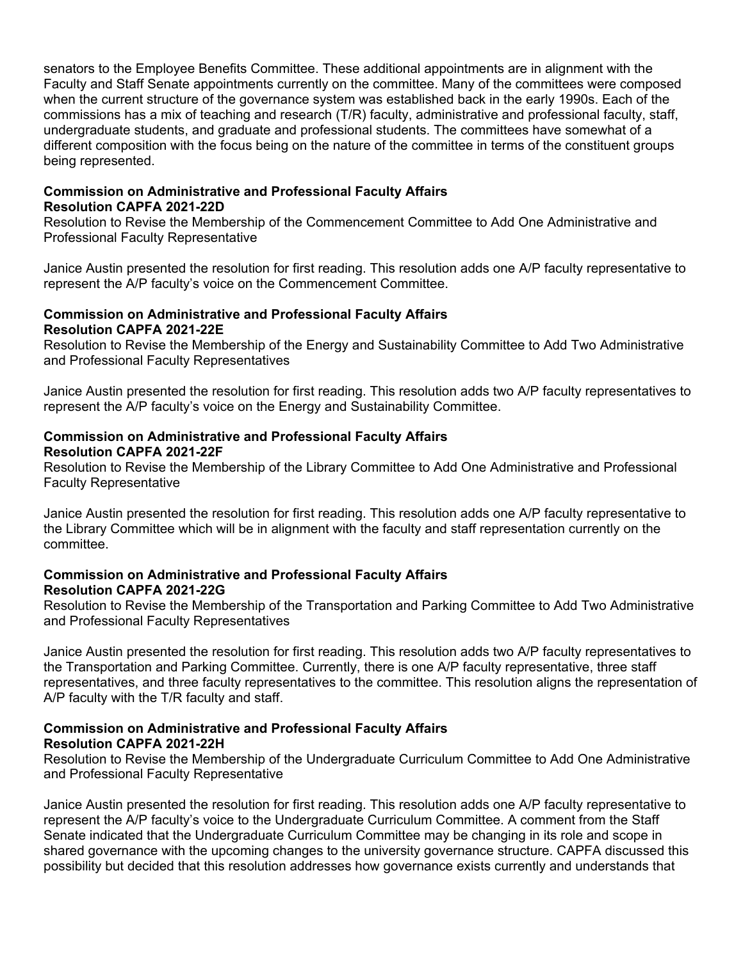senators to the Employee Benefits Committee. These additional appointments are in alignment with the Faculty and Staff Senate appointments currently on the committee. Many of the committees were composed when the current structure of the governance system was established back in the early 1990s. Each of the commissions has a mix of teaching and research (T/R) faculty, administrative and professional faculty, staff, undergraduate students, and graduate and professional students. The committees have somewhat of a different composition with the focus being on the nature of the committee in terms of the constituent groups being represented.

### **Commission on Administrative and Professional Faculty Affairs Resolution CAPFA 2021-22D**

Resolution to Revise the Membership of the Commencement Committee to Add One Administrative and Professional Faculty Representative

Janice Austin presented the resolution for first reading. This resolution adds one A/P faculty representative to represent the A/P faculty's voice on the Commencement Committee.

### **Commission on Administrative and Professional Faculty Affairs Resolution CAPFA 2021-22E**

Resolution to Revise the Membership of the Energy and Sustainability Committee to Add Two Administrative and Professional Faculty Representatives

Janice Austin presented the resolution for first reading. This resolution adds two A/P faculty representatives to represent the A/P faculty's voice on the Energy and Sustainability Committee.

### **Commission on Administrative and Professional Faculty Affairs Resolution CAPFA 2021-22F**

Resolution to Revise the Membership of the Library Committee to Add One Administrative and Professional Faculty Representative

Janice Austin presented the resolution for first reading. This resolution adds one A/P faculty representative to the Library Committee which will be in alignment with the faculty and staff representation currently on the committee.

### **Commission on Administrative and Professional Faculty Affairs Resolution CAPFA 2021-22G**

Resolution to Revise the Membership of the Transportation and Parking Committee to Add Two Administrative and Professional Faculty Representatives

Janice Austin presented the resolution for first reading. This resolution adds two A/P faculty representatives to the Transportation and Parking Committee. Currently, there is one A/P faculty representative, three staff representatives, and three faculty representatives to the committee. This resolution aligns the representation of A/P faculty with the T/R faculty and staff.

# **Commission on Administrative and Professional Faculty Affairs Resolution CAPFA 2021-22H**

Resolution to Revise the Membership of the Undergraduate Curriculum Committee to Add One Administrative and Professional Faculty Representative

Janice Austin presented the resolution for first reading. This resolution adds one A/P faculty representative to represent the A/P faculty's voice to the Undergraduate Curriculum Committee. A comment from the Staff Senate indicated that the Undergraduate Curriculum Committee may be changing in its role and scope in shared governance with the upcoming changes to the university governance structure. CAPFA discussed this possibility but decided that this resolution addresses how governance exists currently and understands that